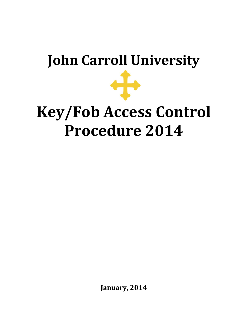# **John Carroll University**

# **Key/Fob Access Control Procedure 2014**

**January, 2014**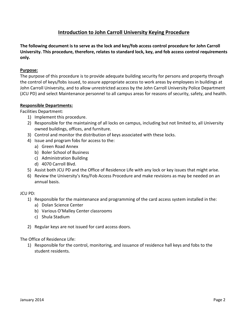## **Introduction to John Carroll University Keying Procedure**

**The following document is to serve as the lock and key/fob access control procedure for John Carroll University. This procedure, therefore, relates to standard lock, key, and fob access control requirements only.**

### **Purpose:**

The purpose of this procedure is to provide adequate building security for persons and property through the control of keys/fobs issued, to assure appropriate access to work areas by employees in buildings at John Carroll University, and to allow unrestricted access by the John Carroll University Police Department (JCU PD) and select Maintenance personnel to all campus areas for reasons of security, safety, and health.

### **Responsible Departments:**

Facilities Department:

- 1) Implement this procedure.
- 2) Responsible for the maintaining of all locks on campus, including but not limited to, all University owned buildings, offices, and furniture.
- 3) Control and monitor the distribution of keys associated with these locks.
- 4) Issue and program fobs for access to the:
	- a) Green Road Annex
	- b) Boler School of Business
	- c) Administration Building
	- d) 4070 Carroll Blvd.
- 5) Assist both JCU PD and the Office of Residence Life with any lock or key issues that might arise.
- 6) Review the University's Key/Fob Access Procedure and make revisions as may be needed on an annual basis.

### JCU PD:

- 1) Responsible for the maintenance and programming of the card access system installed in the:
	- a) Dolan Science Center
	- b) Various O'Malley Center classrooms
	- c) Shula Stadium
- 2) Regular keys are not issued for card access doors.

### The Office of Residence Life:

1) Responsible for the control, monitoring, and issuance of residence hall keys and fobs to the student residents.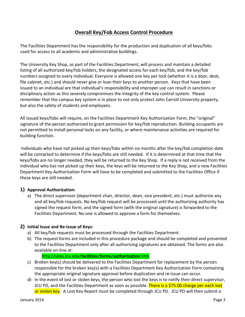# **Overall Key/Fob Access Control Procedure**

The Facilities Department has the responsibility for the production and duplication of all keys/fobs used for access to all academic and administrative buildings.

The University Key Shop, as part of the Facilities Department, will process and maintain a detailed listing of all authorized key/fob holders, the designated access for each key/fob, and the key/fob numbers assigned to every individual. Everyone is allowed one key per lock (whether it is a door, desk, file cabinet, etc.) and should never give or loan their keys to another person. Keys that have been issued to an individual are that individual's responsibility and improper use can result in sanctions or disciplinary action as this severely compromises the integrity of the key control system. Please remember that the campus key system is in place to not only protect John Carroll University property, but also the safety of students and employees.

All issued keys/fobs will require, on the Facilities Department Key Authorization Form, the "original" signature of the person authorized to grant permission for key/fob reproduction. Building occupants are not permitted to install personal locks on any facility, or where maintenance activities are required for building function.

Individuals who have not picked up their keys/fobs within six months after the key/fob completion date will be contacted to determine if the keys/fobs are still needed. If it is determined at that time that the keys/fobs are no longer needed, they will be returned to the Key Shop. If a reply is not received from the individual who has not picked up their keys, the keys will be returned to the Key Shop, and a new Facilities Department Key Authorization Form will have to be completed and submitted to the Facilities Office if these keys are still needed.

### **1) Approval Authorization:**

a) The direct supervisor (department chair, director, dean, vice president, etc.) must authorize any and all key/fob requests. No key/fob request will be processed until the authorizing authority has signed the request form, and the signed form (with the original signature) is forwarded to the Facilities Department. No one is allowed to approve a form for themselves.

### **2) Initial Issue and Re-Issue of Keys:**

- a) All key/fob requests must be processed through the Facilities Department.
- b) The request forms are included in this procedure package and should be completed and presented to the Facilities Department only after all authorizing signatures are obtained. The forms are also available on-line at:

### http://sites.jcu.edu/**facilities**/**forms**/**authorization**.htm

- c) Broken key(s) should be delivered to the Facilities Department for replacement by the person responsible for the broken key(s) with a Facilities Department Key Authorization Form containing the appropriate original signature approval before duplication and re-issue can occur.
- d) In the event of lost or stolen keys, the person who lost the keys is to notify their direct supervisor, JCU PD, and the Facilities Department as soon as possible. There is a \$75.00 charge per each lost or stolen key. A Lost Key Report must be completed through JCU PD. JCU PD will then submit a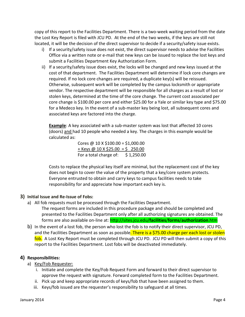copy of this report to the Facilities Department. There is a two-week waiting period from the date the Lost Key Report is filed with JCU PD. At the end of the two weeks, if the keys are still not located, it will be the decision of the direct supervisor to decide if a security/safety issue exists.

- i) If a security/safety issue does not exist, the direct supervisor needs to advise the Facilities Office via a written note or e-mail that new keys can be issued to replace the lost keys and submit a Facilities Department Key Authorization Form.
- ii) If a security/safety issue does exist, the locks will be changed and new keys issued at the cost of that department. The Facilities Department will determine if lock core changes are required. If no lock core changes are required, a duplicate key(s) will be reissued. Otherwise, subsequent work will be completed by the campus locksmith or appropriate vendor. The respective department will be responsible for all charges as a result of lost or stolen keys, determined at the time of the core change. The current cost associated per core change is \$100.00 per core and either \$25.00 for a Yale or similar key type and \$75.00 for a Medeco key. In the event of a sub-master key being lost, all subsequent cores and associated keys are factored into the charge.

**Example**: A key associated with a sub-master system was lost that affected 10 cores (doors) and had 10 people who needed a key. The charges in this example would be calculated as:

> Cores @  $10 \times \frac{100.00}{ } = $1,000.00$  $+$  Keys @ 10 X \$25.00 = \$ 250.00 For a total charge of: \$1,250.00

Costs to replace the physical key itself are minimal, but the replacement cost of the key does not begin to cover the value of the property that a key/core system protects. Everyone entrusted to obtain and carry keys to campus facilities needs to take responsibility for and appreciate how important each key is.

### **3) Initial Issue and Re-Issue of Fobs:**

- a) All fob requests must be processed through the Facilities Department.
	- The request forms are included in this procedure package and should be completed and presented to the Facilities Department only after all authorizing signatures are obtained. The forms are also available on-line at: http://sites.jcu.edu/**facilities**/**forms**/**authorization**.htm
- b) In the event of a lost fob, the person who lost the fob is to notify their direct supervisor, JCU PD, and the Facilities Department as soon as possible. There is a \$75.00 charge per each lost or stolen fob. A Lost Key Report must be completed through JCU PD. JCU PD will then submit a copy of this report to the Facilities Department. Lost fobs will be deactivated immediately.

### **4) Responsibilities:**

### a) Key/Fob Requester:

- i. Initiate and complete the Key/Fob Request Form and forward to their direct supervisor to approve the request with signature. Forward completed form to the Facilities Department.
- ii. Pick up and keep appropriate records of keys/fob that have been assigned to them.
- iii. Keys/fob issued are the requester's responsibility to safeguard at all times.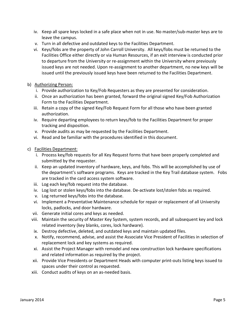- iv. Keep all spare keys locked in a safe place when not in use. No master/sub-master keys are to leave the campus.
- v. Turn in all defective and outdated keys to the Facilities Department.
- vi. Keys/fobs are the property of John Carroll University. All keys/fobs must be returned to the Facilities Office either directly or via Human Resources, if an exit interview is conducted prior to departure from the University or re-assignment within the University where previously issued keys are not needed. Upon re-assignment to another department, no new keys will be issued until the previously issued keys have been returned to the Facilities Department.
- b) Authorizing Person:
	- i. Provide authorization to Key/Fob Requesters as they are presented for consideration.
	- ii. Once an authorization has been granted, forward the original signed Key/Fob Authorization Form to the Facilities Department.
	- iii. Retain a copy of the signed Key/Fob Request Form for all those who have been granted authorization.
	- iv. Require departing employees to return keys/fob to the Facilities Department for proper tracking and disposition.
	- v. Provide audits as may be requested by the Facilities Department.
	- vi. Read and be familiar with the procedures identified in this document.
- c) Facilities Department:
	- i. Process key/fob requests for all Key Request forms that have been properly completed and submitted by the requester.
	- ii. Keep an updated inventory of hardware, keys, and fobs. This will be accomplished by use of the department's software programs. Keys are tracked in the Key Trail database system. Fobs are tracked in the card access system software.
	- iii. Log each key/fob request into the database.
	- iv. Log lost or stolen keys/fobs into the database. De-activate lost/stolen fobs as required.
	- v. Log returned keys/fobs into the database.
	- vi. Implement a Preventative Maintenance schedule for repair or replacement of all University locks, padlocks, and door hardware.
	- vii. Generate initial cores and keys as needed.
	- viii. Maintain the security of Master Key System, system records, and all subsequent key and lock related inventory (key blanks, cores, lock hardware).
	- ix. Destroy defective, deleted, and outdated keys and maintain updated files.
	- x. Notify, recommend, advise, and assist the Associate Vice President of Facilities in selection of replacement lock and key systems as required.
	- xi. Assist the Project Manager with remodel and new construction lock hardware specifications and related information as required by the project.
	- xii. Provide Vice Presidents or Department Heads with computer print-outs listing keys issued to spaces under their control as requested.
	- xiii. Conduct audits of keys on an as-needed basis.